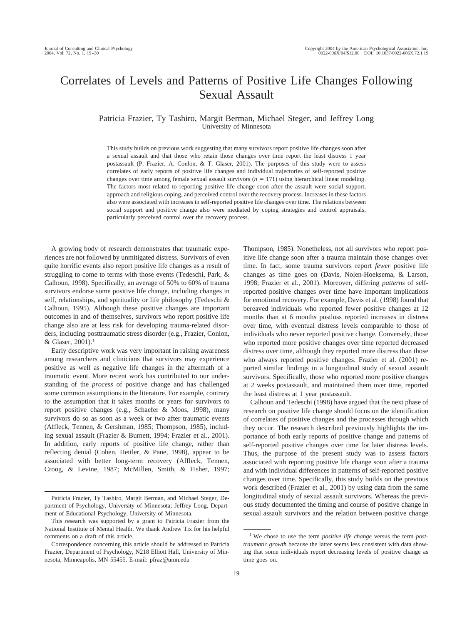# Correlates of Levels and Patterns of Positive Life Changes Following Sexual Assault

## Patricia Frazier, Ty Tashiro, Margit Berman, Michael Steger, and Jeffrey Long University of Minnesota

This study builds on previous work suggesting that many survivors report positive life changes soon after a sexual assault and that those who retain those changes over time report the least distress 1 year postassault (P. Frazier, A. Conlon, & T. Glaser, 2001). The purposes of this study were to assess correlates of early reports of positive life changes and individual trajectories of self-reported positive changes over time among female sexual assault survivors  $(n = 171)$  using hierarchical linear modeling. The factors most related to reporting positive life change soon after the assault were social support, approach and religious coping, and perceived control over the recovery process. Increases in these factors also were associated with increases in self-reported positive life changes over time. The relations between social support and positive change also were mediated by coping strategies and control appraisals, particularly perceived control over the recovery process.

A growing body of research demonstrates that traumatic experiences are not followed by unmitigated distress. Survivors of even quite horrific events also report positive life changes as a result of struggling to come to terms with those events (Tedeschi, Park, & Calhoun, 1998). Specifically, an average of 50% to 60% of trauma survivors endorse some positive life change, including changes in self, relationships, and spirituality or life philosophy (Tedeschi & Calhoun, 1995). Although these positive changes are important outcomes in and of themselves, survivors who report positive life change also are at less risk for developing trauma-related disorders, including posttraumatic stress disorder (e.g., Frazier, Conlon, & Glaser,  $2001$ ).<sup>1</sup>

Early descriptive work was very important in raising awareness among researchers and clinicians that survivors may experience positive as well as negative life changes in the aftermath of a traumatic event. More recent work has contributed to our understanding of the *process* of positive change and has challenged some common assumptions in the literature. For example, contrary to the assumption that it takes months or years for survivors to report positive changes (e.g., Schaefer & Moos, 1998), many survivors do so as soon as a week or two after traumatic events (Affleck, Tennen, & Gershman, 1985; Thompson, 1985), including sexual assault (Frazier & Burnett, 1994; Frazier et al., 2001). In addition, early reports of positive life change, rather than reflecting denial (Cohen, Hettler, & Pane, 1998), appear to be associated with better long-term recovery (Affleck, Tennen, Croog, & Levine, 1987; McMillen, Smith, & Fisher, 1997; Thompson, 1985). Nonetheless, not all survivors who report positive life change soon after a trauma maintain those changes over time. In fact, some trauma survivors report *fewer* positive life changes as time goes on (Davis, Nolen-Hoeksema, & Larson, 1998; Frazier et al., 2001). Moreover, differing *patterns* of selfreported positive changes over time have important implications for emotional recovery. For example, Davis et al. (1998) found that bereaved individuals who reported fewer positive changes at 12 months than at 6 months postloss reported increases in distress over time, with eventual distress levels comparable to those of individuals who never reported positive change. Conversely, those who reported more positive changes over time reported decreased distress over time, although they reported more distress than those who always reported positive changes. Frazier et al. (2001) reported similar findings in a longitudinal study of sexual assault survivors. Specifically, those who reported more positive changes at 2 weeks postassault, and maintained them over time, reported the least distress at 1 year postassault.

Calhoun and Tedeschi (1998) have argued that the next phase of research on positive life change should focus on the identification of correlates of positive changes and the processes through which they occur. The research described previously highlights the importance of both early reports of positive change and patterns of self-reported positive changes over time for later distress levels. Thus, the purpose of the present study was to assess factors associated with reporting positive life change soon after a trauma and with individual differences in patterns of self-reported positive changes over time. Specifically, this study builds on the previous work described (Frazier et al., 2001) by using data from the same longitudinal study of sexual assault survivors. Whereas the previous study documented the timing and course of positive change in sexual assault survivors and the relation between positive change

Patricia Frazier, Ty Tashiro, Margit Berman, and Michael Steger, Department of Psychology, University of Minnesota; Jeffrey Long, Department of Educational Psychology, University of Minnesota.

This research was supported by a grant to Patricia Frazier from the National Institute of Mental Health. We thank Andrew Tix for his helpful comments on a draft of this article.

Correspondence concerning this article should be addressed to Patricia Frazier, Department of Psychology, N218 Elliott Hall, University of Minnesota, Minneapolis, MN 55455. E-mail: pfraz@umn.edu

<sup>1</sup> We chose to use the term *positive life change* versus the term *posttraumatic growth* because the latter seems less consistent with data showing that some individuals report decreasing levels of positive change as time goes on.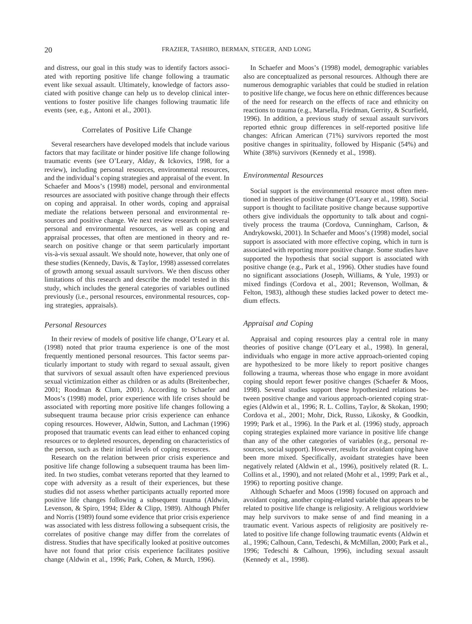and distress, our goal in this study was to identify factors associated with reporting positive life change following a traumatic event like sexual assault. Ultimately, knowledge of factors associated with positive change can help us to develop clinical interventions to foster positive life changes following traumatic life events (see, e.g., Antoni et al., 2001).

# Correlates of Positive Life Change

Several researchers have developed models that include various factors that may facilitate or hinder positive life change following traumatic events (see O'Leary, Alday, & Ickovics, 1998, for a review), including personal resources, environmental resources, and the individual's coping strategies and appraisal of the event. In Schaefer and Moos's (1998) model, personal and environmental resources are associated with positive change through their effects on coping and appraisal. In other words, coping and appraisal mediate the relations between personal and environmental resources and positive change. We next review research on several personal and environmental resources, as well as coping and appraisal processes, that often are mentioned in theory and research on positive change or that seem particularly important vis-a`-vis sexual assault. We should note, however, that only one of these studies (Kennedy, Davis, & Taylor, 1998) assessed correlates of growth among sexual assault survivors. We then discuss other limitations of this research and describe the model tested in this study, which includes the general categories of variables outlined previously (i.e., personal resources, environmental resources, coping strategies, appraisals).

# *Personal Resources*

In their review of models of positive life change, O'Leary et al. (1998) noted that prior trauma experience is one of the most frequently mentioned personal resources. This factor seems particularly important to study with regard to sexual assault, given that survivors of sexual assault often have experienced previous sexual victimization either as children or as adults (Breitenbecher, 2001; Roodman & Clum, 2001). According to Schaefer and Moos's (1998) model, prior experience with life crises should be associated with reporting more positive life changes following a subsequent trauma because prior crisis experience can enhance coping resources. However, Aldwin, Sutton, and Lachman (1996) proposed that traumatic events can lead either to enhanced coping resources or to depleted resources, depending on characteristics of the person, such as their initial levels of coping resources.

Research on the relation between prior crisis experience and positive life change following a subsequent trauma has been limited. In two studies, combat veterans reported that they learned to cope with adversity as a result of their experiences, but these studies did not assess whether participants actually reported more positive life changes following a subsequent trauma (Aldwin, Levenson, & Spiro, 1994; Elder & Clipp, 1989). Although Phifer and Norris (1989) found some evidence that prior crisis experience was associated with less distress following a subsequent crisis, the correlates of positive change may differ from the correlates of distress. Studies that have specifically looked at positive outcomes have not found that prior crisis experience facilitates positive change (Aldwin et al., 1996; Park, Cohen, & Murch, 1996).

In Schaefer and Moos's (1998) model, demographic variables also are conceptualized as personal resources. Although there are numerous demographic variables that could be studied in relation to positive life change, we focus here on ethnic differences because of the need for research on the effects of race and ethnicity on reactions to trauma (e.g., Marsella, Friedman, Gerrity, & Scurfield, 1996). In addition, a previous study of sexual assault survivors reported ethnic group differences in self-reported positive life changes: African American (71%) survivors reported the most positive changes in spirituality, followed by Hispanic (54%) and White (38%) survivors (Kennedy et al., 1998).

## *Environmental Resources*

Social support is the environmental resource most often mentioned in theories of positive change (O'Leary et al., 1998). Social support is thought to facilitate positive change because supportive others give individuals the opportunity to talk about and cognitively process the trauma (Cordova, Cunningham, Carlson, & Andrykowski, 2001). In Schaefer and Moos's (1998) model, social support is associated with more effective coping, which in turn is associated with reporting more positive change. Some studies have supported the hypothesis that social support is associated with positive change (e.g., Park et al., 1996). Other studies have found no significant associations (Joseph, Williams, & Yule, 1993) or mixed findings (Cordova et al., 2001; Revenson, Wollman, & Felton, 1983), although these studies lacked power to detect medium effects.

# *Appraisal and Coping*

Appraisal and coping resources play a central role in many theories of positive change (O'Leary et al., 1998). In general, individuals who engage in more active approach-oriented coping are hypothesized to be more likely to report positive changes following a trauma, whereas those who engage in more avoidant coping should report fewer positive changes (Schaefer & Moos, 1998). Several studies support these hypothesized relations between positive change and various approach-oriented coping strategies (Aldwin et al., 1996; R. L. Collins, Taylor, & Skokan, 1990; Cordova et al., 2001; Mohr, Dick, Russo, Likosky, & Goodkin, 1999; Park et al., 1996). In the Park et al. (1996) study, approach coping strategies explained more variance in positive life change than any of the other categories of variables (e.g., personal resources, social support). However, results for avoidant coping have been more mixed. Specifically, avoidant strategies have been negatively related (Aldwin et al., 1996), positively related (R. L. Collins et al., 1990), and not related (Mohr et al., 1999; Park et al., 1996) to reporting positive change.

Although Schaefer and Moos (1998) focused on approach and avoidant coping, another coping-related variable that appears to be related to positive life change is religiosity. A religious worldview may help survivors to make sense of and find meaning in a traumatic event. Various aspects of religiosity are positively related to positive life change following traumatic events (Aldwin et al., 1996; Calhoun, Cann, Tedeschi, & McMillan, 2000; Park et al., 1996; Tedeschi & Calhoun, 1996), including sexual assault (Kennedy et al., 1998).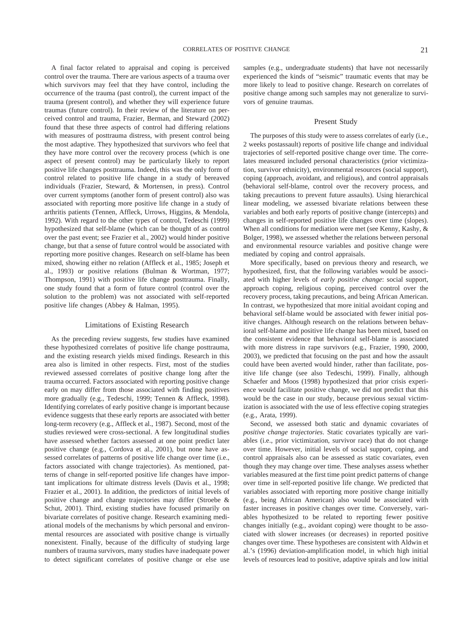A final factor related to appraisal and coping is perceived control over the trauma. There are various aspects of a trauma over which survivors may feel that they have control, including the occurrence of the trauma (past control), the current impact of the trauma (present control), and whether they will experience future traumas (future control). In their review of the literature on perceived control and trauma, Frazier, Berman, and Steward (2002) found that these three aspects of control had differing relations with measures of posttrauma distress, with present control being the most adaptive. They hypothesized that survivors who feel that they have more control over the recovery process (which is one aspect of present control) may be particularly likely to report positive life changes posttrauma. Indeed, this was the only form of control related to positive life change in a study of bereaved individuals (Frazier, Steward, & Mortensen, in press). Control over current symptoms (another form of present control) also was associated with reporting more positive life change in a study of arthritis patients (Tennen, Affleck, Urrows, Higgins, & Mendola, 1992). With regard to the other types of control, Tedeschi (1999) hypothesized that self-blame (which can be thought of as control over the past event; see Frazier et al., 2002) would hinder positive change, but that a sense of future control would be associated with reporting more positive changes. Research on self-blame has been mixed, showing either no relation (Affleck et al., 1985; Joseph et al., 1993) or positive relations (Bulman & Wortman, 1977; Thompson, 1991) with positive life change posttrauma. Finally, one study found that a form of future control (control over the solution to the problem) was not associated with self-reported positive life changes (Abbey & Halman, 1995).

# Limitations of Existing Research

As the preceding review suggests, few studies have examined these hypothesized correlates of positive life change posttrauma, and the existing research yields mixed findings. Research in this area also is limited in other respects. First, most of the studies reviewed assessed correlates of positive change long after the trauma occurred. Factors associated with reporting positive change early on may differ from those associated with finding positives more gradually (e.g., Tedeschi, 1999; Tennen & Affleck, 1998). Identifying correlates of early positive change is important because evidence suggests that these early reports are associated with better long-term recovery (e.g., Affleck et al., 1987). Second, most of the studies reviewed were cross-sectional. A few longitudinal studies have assessed whether factors assessed at one point predict later positive change (e.g., Cordova et al., 2001), but none have assessed correlates of patterns of positive life change over time (i.e., factors associated with change trajectories). As mentioned, patterns of change in self-reported positive life changes have important implications for ultimate distress levels (Davis et al., 1998; Frazier et al., 2001). In addition, the predictors of initial levels of positive change and change trajectories may differ (Stroebe & Schut, 2001). Third, existing studies have focused primarily on bivariate correlates of positive change. Research examining mediational models of the mechanisms by which personal and environmental resources are associated with positive change is virtually nonexistent. Finally, because of the difficulty of studying large numbers of trauma survivors, many studies have inadequate power to detect significant correlates of positive change or else use

samples (e.g., undergraduate students) that have not necessarily experienced the kinds of "seismic" traumatic events that may be more likely to lead to positive change. Research on correlates of positive change among such samples may not generalize to survivors of genuine traumas.

## Present Study

The purposes of this study were to assess correlates of early (i.e., 2 weeks postassault) reports of positive life change and individual trajectories of self-reported positive change over time. The correlates measured included personal characteristics (prior victimization, survivor ethnicity), environmental resources (social support), coping (approach, avoidant, and religious), and control appraisals (behavioral self-blame, control over the recovery process, and taking precautions to prevent future assaults). Using hierarchical linear modeling, we assessed bivariate relations between these variables and both early reports of positive change (intercepts) and changes in self-reported positive life changes over time (slopes). When all conditions for mediation were met (see Kenny, Kashy, & Bolger, 1998), we assessed whether the relations between personal and environmental resource variables and positive change were mediated by coping and control appraisals.

More specifically, based on previous theory and research, we hypothesized, first, that the following variables would be associated with higher levels of *early positive change*: social support, approach coping, religious coping, perceived control over the recovery process, taking precautions, and being African American. In contrast, we hypothesized that more initial avoidant coping and behavioral self-blame would be associated with fewer initial positive changes. Although research on the relations between behavioral self-blame and positive life change has been mixed, based on the consistent evidence that behavioral self-blame is associated with more distress in rape survivors (e.g., Frazier, 1990, 2000, 2003), we predicted that focusing on the past and how the assault could have been averted would hinder, rather than facilitate, positive life change (see also Tedeschi, 1999). Finally, although Schaefer and Moos (1998) hypothesized that prior crisis experience would facilitate positive change, we did not predict that this would be the case in our study, because previous sexual victimization is associated with the use of less effective coping strategies (e.g., Arata, 1999).

Second, we assessed both static and dynamic covariates of *positive change trajectories*. Static covariates typically are variables (i.e., prior victimization, survivor race) that do not change over time. However, initial levels of social support, coping, and control appraisals also can be assessed as static covariates, even though they may change over time. These analyses assess whether variables measured at the first time point predict patterns of change over time in self-reported positive life change. We predicted that variables associated with reporting more positive change initially (e.g., being African American) also would be associated with faster increases in positive changes over time. Conversely, variables hypothesized to be related to reporting fewer positive changes initially (e.g., avoidant coping) were thought to be associated with slower increases (or decreases) in reported positive changes over time. These hypotheses are consistent with Aldwin et al.'s (1996) deviation-amplification model, in which high initial levels of resources lead to positive, adaptive spirals and low initial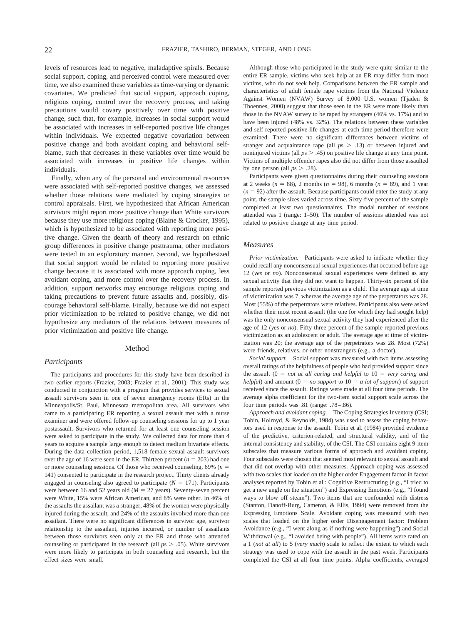levels of resources lead to negative, maladaptive spirals. Because social support, coping, and perceived control were measured over time, we also examined these variables as time-varying or dynamic covariates. We predicted that social support, approach coping, religious coping, control over the recovery process, and taking precautions would covary positively over time with positive change, such that, for example, increases in social support would be associated with increases in self-reported positive life changes within individuals. We expected negative covariation between positive change and both avoidant coping and behavioral selfblame, such that decreases in these variables over time would be associated with increases in positive life changes within individuals.

Finally, when any of the personal and environmental resources were associated with self-reported positive changes, we assessed whether those relations were mediated by coping strategies or control appraisals. First, we hypothesized that African American survivors might report more positive change than White survivors because they use more religious coping (Blaine & Crocker, 1995), which is hypothesized to be associated with reporting more positive change. Given the dearth of theory and research on ethnic group differences in positive change posttrauma, other mediators were tested in an exploratory manner. Second, we hypothesized that social support would be related to reporting more positive change because it is associated with more approach coping, less avoidant coping, and more control over the recovery process. In addition, support networks may encourage religious coping and taking precautions to prevent future assaults and, possibly, discourage behavioral self-blame. Finally, because we did not expect prior victimization to be related to positive change, we did not hypothesize any mediators of the relations between measures of prior victimization and positive life change.

#### Method

#### *Participants*

The participants and procedures for this study have been described in two earlier reports (Frazier, 2003; Frazier et al., 2001). This study was conducted in conjunction with a program that provides services to sexual assault survivors seen in one of seven emergency rooms (ERs) in the Minneapolis/St. Paul, Minnesota metropolitan area. All survivors who came to a participating ER reporting a sexual assault met with a nurse examiner and were offered follow-up counseling sessions for up to 1 year postassault. Survivors who returned for at least one counseling session were asked to participate in the study. We collected data for more than 4 years to acquire a sample large enough to detect medium bivariate effects. During the data collection period, 1,518 female sexual assault survivors over the age of 16 were seen in the ER. Thirteen percent  $(n = 203)$  had one or more counseling sessions. Of those who received counseling, 69% (*n* 141) consented to participate in the research project. Thirty clients already engaged in counseling also agreed to participate  $(N = 171)$ . Participants were between 16 and 52 years old  $(M = 27$  years). Seventy-seven percent were White, 15% were African American, and 8% were other. In 46% of the assaults the assailant was a stranger, 48% of the women were physically injured during the assault, and 24% of the assaults involved more than one assailant. There were no significant differences in survivor age, survivor relationship to the assailant, injuries incurred, or number of assailants between those survivors seen only at the ER and those who attended counseling or participated in the research (all  $ps > .05$ ). White survivors were more likely to participate in both counseling and research, but the effect sizes were small.

Although those who participated in the study were quite similar to the entire ER sample, victims who seek help at an ER may differ from most victims, who do not seek help. Comparisons between the ER sample and characteristics of adult female rape victims from the National Violence Against Women (NVAW) Survey of 8,000 U.S. women (Tjaden & Thoennes, 2000) suggest that those seen in the ER were more likely than those in the NVAW survey to be raped by strangers (46% vs. 17%) and to have been injured (48% vs. 32%). The relations between these variables and self-reported positive life changes at each time period therefore were examined. There were no significant differences between victims of stranger and acquaintance rape (all  $ps > .13$ ) or between injured and noninjured victims (all  $ps > .45$ ) on positive life change at any time point. Victims of multiple offender rapes also did not differ from those assaulted by one person (all  $ps > .28$ ).

Participants were given questionnaires during their counseling sessions at 2 weeks ( $n = 88$ ), 2 months ( $n = 98$ ), 6 months ( $n = 89$ ), and 1 year  $(n = 92)$  after the assault. Because participants could enter the study at any point, the sample sizes varied across time. Sixty-five percent of the sample completed at least two questionnaires. The modal number of sessions attended was 1 (range: 1–50). The number of sessions attended was not related to positive change at any time period.

# *Measures*

*Prior victimization.* Participants were asked to indicate whether they could recall any nonconsensual sexual experiences that occurred before age 12 (*yes* or *no*). Nonconsensual sexual experiences were defined as any sexual activity that they did not want to happen. Thirty-six percent of the sample reported previous victimization as a child. The average age at time of victimization was 7, whereas the average age of the perpetrators was 28. Most (55%) of the perpetrators were relatives. Participants also were asked whether their most recent assault (the one for which they had sought help) was the only nonconsensual sexual activity they had experienced after the age of 12 (*yes* or *no*). Fifty-three percent of the sample reported previous victimization as an adolescent or adult. The average age at time of victimization was 20; the average age of the perpetrators was 28. Most (72%) were friends, relatives, or other nonstrangers (e.g., a doctor).

*Social support.* Social support was measured with two items assessing overall ratings of the helpfulness of people who had provided support since the assault  $(0 = not at all caring and helpful to 10 = very caring and)$ *helpful*) and amount  $(0 = no support to 10 = a lot of support)$  of support received since the assault. Ratings were made at all four time periods. The average alpha coefficient for the two-item social support scale across the four time periods was .81 (range: .78–.86).

*Approach and avoidant coping.* The Coping Strategies Inventory (CSI; Tobin, Holroyd, & Reynolds, 1984) was used to assess the coping behaviors used in response to the assault. Tobin et al. (1984) provided evidence of the predictive, criterion-related, and structural validity, and of the internal consistency and stability, of the CSI. The CSI contains eight 9-item subscales that measure various forms of approach and avoidant coping. Four subscales were chosen that seemed most relevant to sexual assault and that did not overlap with other measures. Approach coping was assessed with two scales that loaded on the higher order Engagement factor in factor analyses reported by Tobin et al.: Cognitive Restructuring (e.g., "I tried to get a new angle on the situation") and Expressing Emotions (e.g., "I found ways to blow off steam"). Two items that are confounded with distress (Stanton, Danoff-Burg, Cameron, & Ellis, 1994) were removed from the Expressing Emotions Scale. Avoidant coping was measured with two scales that loaded on the higher order Disengagement factor: Problem Avoidance (e.g., "I went along as if nothing were happening") and Social Withdrawal (e.g., "I avoided being with people"). All items were rated on a1(*not at all*) to 5 (*very much*) scale to reflect the extent to which each strategy was used to cope with the assault in the past week. Participants completed the CSI at all four time points. Alpha coefficients, averaged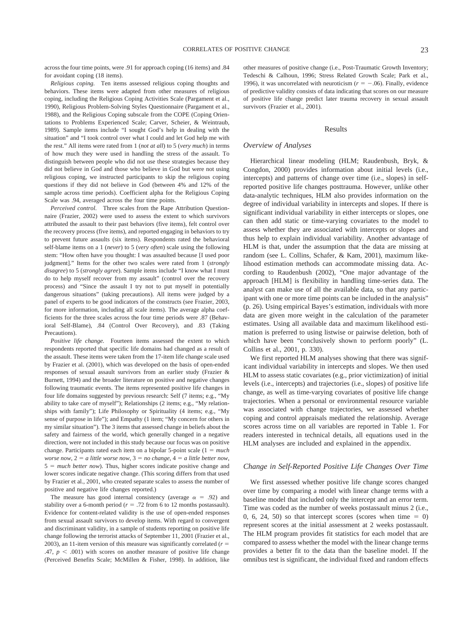across the four time points, were .91 for approach coping (16 items) and .84 for avoidant coping (18 items).

*Religious coping.* Ten items assessed religious coping thoughts and behaviors. These items were adapted from other measures of religious coping, including the Religious Coping Activities Scale (Pargament et al., 1990), Religious Problem-Solving Styles Questionnaire (Pargament et al., 1988), and the Religious Coping subscale from the COPE (Coping Orientations to Problems Experienced Scale; Carver, Scheier, & Weintraub, 1989). Sample items include "I sought God's help in dealing with the situation" and "I took control over what I could and let God help me with the rest." All items were rated from 1 (*not at all*) to 5 (*very much*) in terms of how much they were used in handling the stress of the assault. To distinguish between people who did not use these strategies because they did not believe in God and those who believe in God but were not using religious coping, we instructed participants to skip the religious coping questions if they did not believe in God (between 4% and 12% of the sample across time periods). Coefficient alpha for the Religious Coping Scale was .94, averaged across the four time points.

*Perceived control.* Three scales from the Rape Attribution Questionnaire (Frazier, 2002) were used to assess the extent to which survivors attributed the assault to their past behaviors (five items), felt control over the recovery process (five items), and reported engaging in behaviors to try to prevent future assaults (six items). Respondents rated the behavioral self-blame items ona1(*never*) to 5 (*very often*) scale using the following stem: "How often have you thought: I was assaulted because [I used poor judgment]." Items for the other two scales were rated from 1 (*strongly disagree*) to 5 (*strongly agree*). Sample items include "I know what I must do to help myself recover from my assault" (control over the recovery process) and "Since the assault I try not to put myself in potentially dangerous situations" (taking precautions). All items were judged by a panel of experts to be good indicators of the constructs (see Frazier, 2003, for more information, including all scale items). The average alpha coefficients for the three scales across the four time periods were .87 (Behavioral Self-Blame), .84 (Control Over Recovery), and .83 (Taking Precautions).

*Positive life change.* Fourteen items assessed the extent to which respondents reported that specific life domains had changed as a result of the assault. These items were taken from the 17-item life change scale used by Frazier et al. (2001), which was developed on the basis of open-ended responses of sexual assault survivors from an earlier study (Frazier & Burnett, 1994) and the broader literature on positive and negative changes following traumatic events. The items represented positive life changes in four life domains suggested by previous research: Self (7 items; e.g., "My ability to take care of myself"); Relationships (2 items; e.g., "My relationships with family"); Life Philosophy or Spirituality (4 items; e.g., "My sense of purpose in life"); and Empathy (1 item; "My concern for others in my similar situation"). The 3 items that assessed change in beliefs about the safety and fairness of the world, which generally changed in a negative direction, were not included in this study because our focus was on positive change. Participants rated each item on a bipolar 5-point scale (1 *much worse now*,  $2 = a$  *little worse now*,  $3 = no$  *change*,  $4 = a$  *little better now*,  $5 = much better now$ ). Thus, higher scores indicate positive change and lower scores indicate negative change. (This scoring differs from that used by Frazier et al., 2001, who created separate scales to assess the number of positive and negative life changes reported.)

The measure has good internal consistency (average  $\alpha = .92$ ) and stability over a 6-month period ( $r = .72$  from 6 to 12 months postassault). Evidence for content-related validity is the use of open-ended responses from sexual assault survivors to develop items. With regard to convergent and discriminant validity, in a sample of students reporting on positive life change following the terrorist attacks of September 11, 2001 (Frazier et al., 2003), an 11-item version of this measure was significantly correlated (*r* .47,  $p < .001$ ) with scores on another measure of positive life change (Perceived Benefits Scale; McMillen & Fisher, 1998). In addition, like

other measures of positive change (i.e., Post-Traumatic Growth Inventory; Tedeschi & Calhoun, 1996; Stress Related Growth Scale; Park et al., 1996), it was uncorrelated with neuroticism  $(r = -.06)$ . Finally, evidence of predictive validity consists of data indicating that scores on our measure of positive life change predict later trauma recovery in sexual assault survivors (Frazier et al., 2001).

# Results

# *Overview of Analyses*

Hierarchical linear modeling (HLM; Raudenbush, Bryk, & Congdon, 2000) provides information about initial levels (i.e., intercepts) and patterns of change over time (i.e., slopes) in selfreported positive life changes posttrauma. However, unlike other data-analytic techniques, HLM also provides information on the degree of individual variability in intercepts and slopes. If there is significant individual variability in either intercepts or slopes, one can then add static or time-varying covariates to the model to assess whether they are associated with intercepts or slopes and thus help to explain individual variability. Another advantage of HLM is that, under the assumption that the data are missing at random (see L. Collins, Schafer, & Kam, 2001), maximum likelihood estimation methods can accommodate missing data. According to Raudenbush (2002), "One major advantage of the approach [HLM] is flexibility in handling time-series data. The analyst can make use of all the available data, so that any participant with one or more time points can be included in the analysis" (p. 26). Using empirical Bayes's estimation, individuals with more data are given more weight in the calculation of the parameter estimates. Using all available data and maximum likelihood estimation is preferred to using listwise or pairwise deletion, both of which have been "conclusively shown to perform poorly" (L. Collins et al., 2001, p. 330).

We first reported HLM analyses showing that there was significant individual variability in intercepts and slopes. We then used HLM to assess static covariates (e.g., prior victimization) of initial levels (i.e., intercepts) and trajectories (i.e., slopes) of positive life change, as well as time-varying covariates of positive life change trajectories. When a personal or environmental resource variable was associated with change trajectories, we assessed whether coping and control appraisals mediated the relationship. Average scores across time on all variables are reported in Table 1. For readers interested in technical details, all equations used in the HLM analyses are included and explained in the appendix.

# *Change in Self-Reported Positive Life Changes Over Time*

We first assessed whether positive life change scores changed over time by comparing a model with linear change terms with a baseline model that included only the intercept and an error term. Time was coded as the number of weeks postassault minus 2 (i.e., 0, 6, 24, 50) so that intercept scores (scores when time  $= 0$ ) represent scores at the initial assessment at 2 weeks postassault. The HLM program provides fit statistics for each model that are compared to assess whether the model with the linear change terms provides a better fit to the data than the baseline model. If the omnibus test is significant, the individual fixed and random effects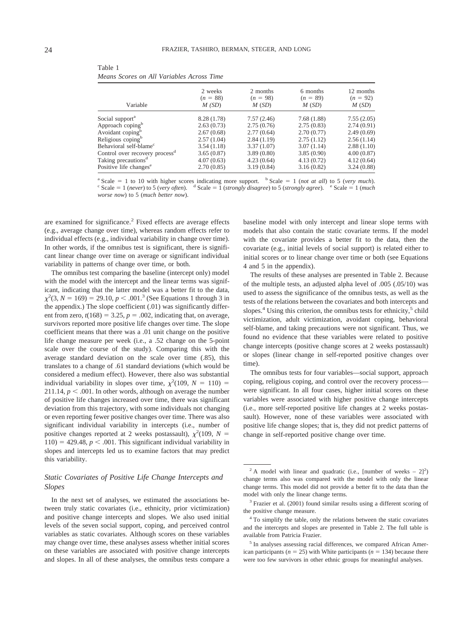| Variable                                   | 2 weeks<br>$(n = 88)$<br>M(SD) | 2 months<br>$(n = 98)$<br>M(SD) | 6 months<br>$(n = 89)$<br>M(SD) | 12 months<br>$(n = 92)$<br>M(SD) |
|--------------------------------------------|--------------------------------|---------------------------------|---------------------------------|----------------------------------|
| Social support <sup>a</sup>                | 8.28 (1.78)                    | 7.57(2.46)                      | 7.68(1.88)                      | 7.55(2.05)                       |
| Approach coping <sup>b</sup>               | 2.63(0.73)                     | 2.75(0.76)                      | 2.75(0.83)                      | 2.74(0.91)                       |
| Avoidant coping <sup>b</sup>               | 2.67(0.68)                     | 2.77(0.64)                      | 2.70(0.77)                      | 2.49(0.69)                       |
| Religious coping <sup>b</sup>              | 2.57(1.04)                     | 2.84(1.19)                      | 2.75(1.12)                      | 2.56(1.14)                       |
| Behavioral self-blame <sup>c</sup>         | 3.54(1.18)                     | 3.37(1.07)                      | 3.07(1.14)                      | 2.88(1.10)                       |
| Control over recovery process <sup>d</sup> | 3.65(0.87)                     | 3.89(0.80)                      | 3.85(0.90)                      | 4.00(0.87)                       |
| Taking precautions <sup>d</sup>            | 4.07(0.63)                     | 4.23(0.64)                      | 4.13(0.72)                      | 4.12(0.64)                       |
| Positive life changes <sup>e</sup>         | 2.70(0.85)                     | 3.19(0.84)                      | 3.16(0.82)                      | 3.24(0.88)                       |

Table 1 *Means Scores on All Variables Across Time*

<sup>a</sup> Scale = 1 to 10 with higher scores indicating more support. <sup>b</sup> Scale = 1 (*not at all*) to 5 (*very much*).<br><sup>c</sup> Scale = 1 (*never*) to 5 (*very often*). <sup>d</sup> Scale = 1 (*strongly disagree*) to 5 (*strongly agree*). <sup>e</sup> *worse now*) to 5 (*much better now*).

are examined for significance.<sup>2</sup> Fixed effects are average effects (e.g., average change over time), whereas random effects refer to individual effects (e.g., individual variability in change over time). In other words, if the omnibus test is significant, there is significant linear change over time on average or significant individual variability in patterns of change over time, or both.

The omnibus test comparing the baseline (intercept only) model with the model with the intercept and the linear terms was significant, indicating that the latter model was a better fit to the data,  $\chi^2(3, N = 169) = 29.10, p < .001$ <sup>3</sup> (See Equations 1 through 3 in the appendix.) The slope coefficient (.01) was significantly different from zero,  $t(168) = 3.25$ ,  $p = .002$ , indicating that, on average, survivors reported more positive life changes over time. The slope coefficient means that there was a .01 unit change on the positive life change measure per week (i.e., a .52 change on the 5-point scale over the course of the study). Comparing this with the average standard deviation on the scale over time (.85), this translates to a change of .61 standard deviations (which would be considered a medium effect). However, there also was substantial individual variability in slopes over time,  $\chi^2(109, N = 110)$  = 211.14,  $p < .001$ . In other words, although on average the number of positive life changes increased over time, there was significant deviation from this trajectory, with some individuals not changing or even reporting fewer positive changes over time. There was also significant individual variability in intercepts (i.e., number of positive changes reported at 2 weeks postassault),  $\chi^2(109, N =$  $110$ ) = 429.48,  $p < .001$ . This significant individual variability in slopes and intercepts led us to examine factors that may predict this variability.

# *Static Covariates of Positive Life Change Intercepts and Slopes*

In the next set of analyses, we estimated the associations between truly static covariates (i.e., ethnicity, prior victimization) and positive change intercepts and slopes. We also used initial levels of the seven social support, coping, and perceived control variables as static covariates. Although scores on these variables may change over time, these analyses assess whether initial scores on these variables are associated with positive change intercepts and slopes. In all of these analyses, the omnibus tests compare a baseline model with only intercept and linear slope terms with models that also contain the static covariate terms. If the model with the covariate provides a better fit to the data, then the covariate (e.g., initial levels of social support) is related either to initial scores or to linear change over time or both (see Equations 4 and 5 in the appendix).

The results of these analyses are presented in Table 2. Because of the multiple tests, an adjusted alpha level of .005 (.05/10) was used to assess the significance of the omnibus tests, as well as the tests of the relations between the covariates and both intercepts and slopes. $4$  Using this criterion, the omnibus tests for ethnicity, $5$  child victimization, adult victimization, avoidant coping, behavioral self-blame, and taking precautions were not significant. Thus, we found no evidence that these variables were related to positive change intercepts (positive change scores at 2 weeks postassault) or slopes (linear change in self-reported positive changes over time).

The omnibus tests for four variables—social support, approach coping, religious coping, and control over the recovery process were significant. In all four cases, higher initial scores on these variables were associated with higher positive change intercepts (i.e., more self-reported positive life changes at 2 weeks postassault). However, none of these variables were associated with positive life change slopes; that is, they did not predict patterns of change in self-reported positive change over time.

<sup>&</sup>lt;sup>2</sup> A model with linear and quadratic (i.e., [number of weeks  $-2$ ]<sup>2</sup>) change terms also was compared with the model with only the linear change terms. This model did not provide a better fit to the data than the model with only the linear change terms.

<sup>&</sup>lt;sup>3</sup> Frazier et al. (2001) found similar results using a different scoring of the positive change measure.

<sup>&</sup>lt;sup>4</sup> To simplify the table, only the relations between the static covariates and the intercepts and slopes are presented in Table 2. The full table is available from Patricia Frazier.

<sup>&</sup>lt;sup>5</sup> In analyses assessing racial differences, we compared African American participants ( $n = 25$ ) with White participants ( $n = 134$ ) because there were too few survivors in other ethnic groups for meaningful analyses.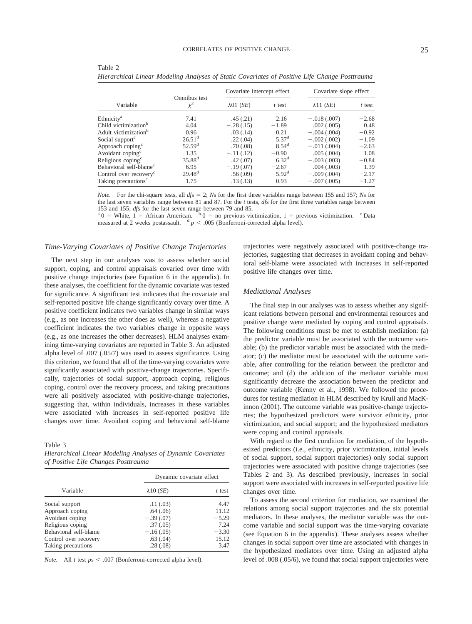|                                    |                    | Covariate intercept effect |                   | Covariate slope effect |         |
|------------------------------------|--------------------|----------------------------|-------------------|------------------------|---------|
| Variable                           | Omnibus test       | $\lambda$ 01 (SE)          | t test            | $\lambda$ 11 (SE)      | t test  |
| Ethnicity <sup>a</sup>             | 7.41               | .45(.21)                   | 2.16              | $-.018(.007)$          | $-2.68$ |
| Child victimization <sup>b</sup>   | 4.04               | $-.28(.15)$                | $-1.89$           | .002(.005)             | 0.48    |
| Adult victimization <sup>b</sup>   | 0.96               | .03(0.14)                  | 0.21              | $-.004(.004)$          | $-0.92$ |
| Social support <sup>c</sup>        | $26.51^{\rm d}$    | .22(.04)                   | 5.37 <sup>d</sup> | $-.002(.002)$          | $-1.09$ |
| Approach coping <sup>c</sup>       | 52.59 <sup>d</sup> | .70(0.08)                  | $8.54^{\rm d}$    | $-.011(.004)$          | $-2.63$ |
| Avoidant coping <sup>c</sup>       | 1.35               | $-.11(.12)$                | $-0.90$           | .005(.004)             | 1.08    |
| Religious coping <sup>c</sup>      | $35.88^{d}$        | .42(.07)                   | $6.32^{\rm d}$    | $-.003(.003)$          | $-0.84$ |
| Behavioral self-blame <sup>c</sup> | 6.95               | $-.19(.07)$                | $-2.67$           | .004(.003)             | 1.39    |
| Control over recovery <sup>c</sup> | $29.48^{\rm d}$    | .56(.09)                   | $5.92^{\rm d}$    | $-.009(.004)$          | $-2.17$ |
| Taking precautions <sup>c</sup>    | 1.75               | .13(.13)                   | 0.93              | $-.007(.005)$          | $-1.27$ |
|                                    |                    |                            |                   |                        |         |

Table 2 *Hierarchical Linear Modeling Analyses of Static Covariates of Positive Life Change Posttrauma*

*Note.* For the chi-square tests, all  $dfs = 2$ ; *Ns* for the first three variables range between 155 and 157; *Ns* for the last seven variables range between 81 and 87. For the *t* tests, *df*s for the first three variables range between 153 and 155; *df*s for the last seven range between 79 and 85.  $a_0 = W$ hite, 1 = African American.  $b_0 = n$  previous victimization, 1 = previous victimization. <sup>c</sup> Data

measured at 2 weeks postassault.  $d p < .005$  (Bonferroni-corrected alpha level).

#### *Time-Varying Covariates of Positive Change Trajectories*

The next step in our analyses was to assess whether social support, coping, and control appraisals covaried over time with positive change trajectories (see Equation 6 in the appendix). In these analyses, the coefficient for the dynamic covariate was tested for significance. A significant test indicates that the covariate and self-reported positive life change significantly covary over time. A positive coefficient indicates two variables change in similar ways (e.g., as one increases the other does as well), whereas a negative coefficient indicates the two variables change in opposite ways (e.g., as one increases the other decreases). HLM analyses examining time-varying covariates are reported in Table 3. An adjusted alpha level of .007 (.05/7) was used to assess significance. Using this criterion, we found that all of the time-varying covariates were significantly associated with positive-change trajectories. Specifically, trajectories of social support, approach coping, religious coping, control over the recovery process, and taking precautions were all positively associated with positive-change trajectories, suggesting that, within individuals, increases in these variables were associated with increases in self-reported positive life changes over time. Avoidant coping and behavioral self-blame

Table 3

*Hierarchical Linear Modeling Analyses of Dynamic Covariates of Positive Life Changes Posttrauma*

| Variable              | Dynamic covariate effect |          |  |
|-----------------------|--------------------------|----------|--|
|                       | $\lambda$ 10 (SE)        | $t$ test |  |
| Social support        | .11(.03)                 | 4.47     |  |
| Approach coping       | .64(.06)                 | 11.12    |  |
| Avoidant coping       | $-.39(.07)$              | $-5.29$  |  |
| Religious coping      | .37(.05)                 | 7.24     |  |
| Behavioral self-blame | $-.16(.05)$              | $-3.30$  |  |
| Control over recovery | .63(.04)                 | 15.12    |  |
| Taking precautions    | .28(.08)                 | 3.47     |  |

*Note.* All *t* test  $ps < .007$  (Bonferroni-corrected alpha level).

trajectories were negatively associated with positive-change trajectories, suggesting that decreases in avoidant coping and behavioral self-blame were associated with increases in self-reported positive life changes over time.

#### *Mediational Analyses*

The final step in our analyses was to assess whether any significant relations between personal and environmental resources and positive change were mediated by coping and control appraisals. The following conditions must be met to establish mediation: (a) the predictor variable must be associated with the outcome variable; (b) the predictor variable must be associated with the mediator; (c) the mediator must be associated with the outcome variable, after controlling for the relation between the predictor and outcome; and (d) the addition of the mediator variable must significantly decrease the association between the predictor and outcome variable (Kenny et al., 1998). We followed the procedures for testing mediation in HLM described by Krull and MacKinnon (2001). The outcome variable was positive-change trajectories; the hypothesized predictors were survivor ethnicity, prior victimization, and social support; and the hypothesized mediators were coping and control appraisals.

With regard to the first condition for mediation, of the hypothesized predictors (i.e., ethnicity, prior victimization, initial levels of social support, social support trajectories) only social support trajectories were associated with positive change trajectories (see Tables 2 and 3). As described previously, increases in social support were associated with increases in self-reported positive life changes over time.

To assess the second criterion for mediation, we examined the relations among social support trajectories and the six potential mediators. In these analyses, the mediator variable was the outcome variable and social support was the time-varying covariate (see Equation 6 in the appendix). These analyses assess whether changes in social support over time are associated with changes in the hypothesized mediators over time. Using an adjusted alpha level of .008 (.05/6), we found that social support trajectories were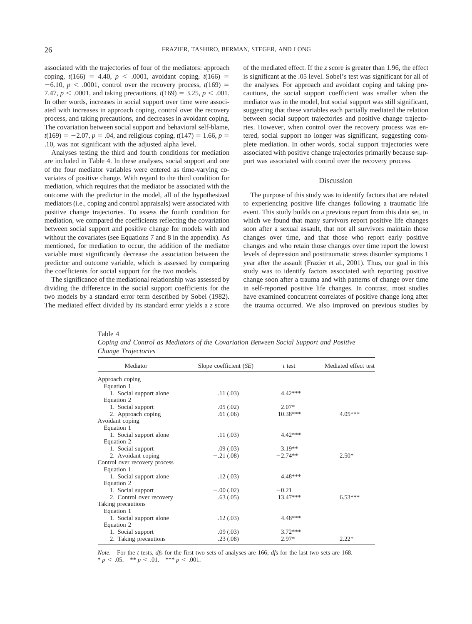associated with the trajectories of four of the mediators: approach coping,  $t(166) = 4.40$ ,  $p < .0001$ , avoidant coping,  $t(166) =$  $-6.10, p < .0001$ , control over the recovery process,  $t(169)$  = 7.47,  $p < .0001$ , and taking precautions,  $t(169) = 3.25$ ,  $p < .001$ . In other words, increases in social support over time were associated with increases in approach coping, control over the recovery process, and taking precautions, and decreases in avoidant coping. The covariation between social support and behavioral self-blame,  $t(169) = -2.07$ ,  $p = .04$ , and religious coping,  $t(147) = 1.66$ ,  $p =$ .10, was not significant with the adjusted alpha level.

Analyses testing the third and fourth conditions for mediation are included in Table 4. In these analyses, social support and one of the four mediator variables were entered as time-varying covariates of positive change. With regard to the third condition for mediation, which requires that the mediator be associated with the outcome with the predictor in the model, all of the hypothesized mediators (i.e., coping and control appraisals) were associated with positive change trajectories. To assess the fourth condition for mediation, we compared the coefficients reflecting the covariation between social support and positive change for models with and without the covariates (see Equations 7 and 8 in the appendix). As mentioned, for mediation to occur, the addition of the mediator variable must significantly decrease the association between the predictor and outcome variable, which is assessed by comparing the coefficients for social support for the two models.

The significance of the mediational relationship was assessed by dividing the difference in the social support coefficients for the two models by a standard error term described by Sobel (1982). The mediated effect divided by its standard error yields a *z* score

Table 4

of the mediated effect. If the *z* score is greater than 1.96, the effect is significant at the .05 level. Sobel's test was significant for all of the analyses. For approach and avoidant coping and taking precautions, the social support coefficient was smaller when the mediator was in the model, but social support was still significant, suggesting that these variables each partially mediated the relation between social support trajectories and positive change trajectories. However, when control over the recovery process was entered, social support no longer was significant, suggesting complete mediation. In other words, social support trajectories were associated with positive change trajectories primarily because support was associated with control over the recovery process.

# Discussion

The purpose of this study was to identify factors that are related to experiencing positive life changes following a traumatic life event. This study builds on a previous report from this data set, in which we found that many survivors report positive life changes soon after a sexual assault, that not all survivors maintain those changes over time, and that those who report early positive changes and who retain those changes over time report the lowest levels of depression and posttraumatic stress disorder symptoms 1 year after the assault (Frazier et al., 2001). Thus, our goal in this study was to identify factors associated with reporting positive change soon after a trauma and with patterns of change over time in self-reported positive life changes. In contrast, most studies have examined concurrent correlates of positive change long after the trauma occurred. We also improved on previous studies by

| Mediator                      | Slope coefficient $(SE)$ | $t$ test   | Mediated effect test |
|-------------------------------|--------------------------|------------|----------------------|
| Approach coping               |                          |            |                      |
| Equation 1                    |                          |            |                      |
| 1. Social support alone       | .11(0.03)                | $4.42***$  |                      |
| Equation 2                    |                          |            |                      |
| 1. Social support             | .05(.02)                 | $2.07*$    |                      |
| 2. Approach coping            | .61(.06)                 | $10.38***$ | $4.05***$            |
| Avoidant coping               |                          |            |                      |
| Equation 1                    |                          |            |                      |
| 1. Social support alone       | .11(0.03)                | $4.42***$  |                      |
| Equation 2                    |                          |            |                      |
| 1. Social support             | .09(0.03)                | $3.19**$   |                      |
| 2. Avoidant coping            | $-.21(.08)$              | $-2.74**$  | $2.50*$              |
| Control over recovery process |                          |            |                      |
| Equation 1                    |                          |            |                      |
| 1. Social support alone       | .12(.03)                 | 4.48***    |                      |
| Equation 2                    |                          |            |                      |
| 1. Social support             | $-.00(.02)$              | $-0.21$    |                      |
| 2. Control over recovery      | .63(0.05)                | $13.47***$ | $6.53***$            |
| Taking precautions            |                          |            |                      |
| Equation 1                    |                          |            |                      |
| 1. Social support alone       | .12(.03)                 | 4.48***    |                      |
| Equation 2                    |                          |            |                      |
| 1. Social support             | .09(0.03)                | $3.72***$  |                      |
| 2. Taking precautions         | .23(.08)                 | $2.97*$    | $2.22*$              |

*Coping and Control as Mediators of the Covariation Between Social Support and Positive Change Trajectories*

*Note.* For the *t* tests, *df*s for the first two sets of analyses are 166; *df*s for the last two sets are 168.  $* p < .05.$  \*\*  $p < .01.$  \*\*\*  $p < .001.$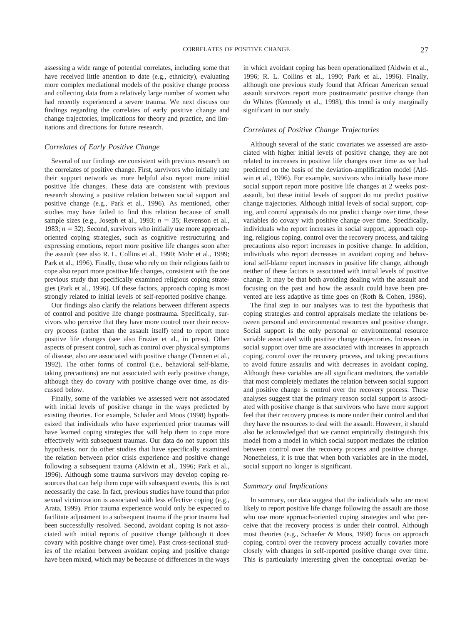assessing a wide range of potential correlates, including some that have received little attention to date (e.g., ethnicity), evaluating more complex mediational models of the positive change process and collecting data from a relatively large number of women who had recently experienced a severe trauma. We next discuss our findings regarding the correlates of early positive change and change trajectories, implications for theory and practice, and limitations and directions for future research.

## *Correlates of Early Positive Change*

Several of our findings are consistent with previous research on the correlates of positive change. First, survivors who initially rate their support network as more helpful also report more initial positive life changes. These data are consistent with previous research showing a positive relation between social support and positive change (e.g., Park et al., 1996). As mentioned, other studies may have failed to find this relation because of small sample sizes (e.g., Joseph et al., 1993;  $n = 35$ ; Revenson et al., 1983;  $n = 32$ ). Second, survivors who initially use more approachoriented coping strategies, such as cognitive restructuring and expressing emotions, report more positive life changes soon after the assault (see also R. L. Collins et al., 1990; Mohr et al., 1999; Park et al., 1996). Finally, those who rely on their religious faith to cope also report more positive life changes, consistent with the one previous study that specifically examined religious coping strategies (Park et al., 1996). Of these factors, approach coping is most strongly related to initial levels of self-reported positive change.

Our findings also clarify the relations between different aspects of control and positive life change posttrauma. Specifically, survivors who perceive that they have more control over their recovery process (rather than the assault itself) tend to report more positive life changes (see also Frazier et al., in press). Other aspects of present control, such as control over physical symptoms of disease, also are associated with positive change (Tennen et al., 1992). The other forms of control (i.e., behavioral self-blame, taking precautions) are not associated with early positive change, although they do covary with positive change over time, as discussed below.

Finally, some of the variables we assessed were not associated with initial levels of positive change in the ways predicted by existing theories. For example, Schafer and Moos (1998) hypothesized that individuals who have experienced prior traumas will have learned coping strategies that will help them to cope more effectively with subsequent traumas. Our data do not support this hypothesis, nor do other studies that have specifically examined the relation between prior crisis experience and positive change following a subsequent trauma (Aldwin et al., 1996; Park et al., 1996). Although some trauma survivors may develop coping resources that can help them cope with subsequent events, this is not necessarily the case. In fact, previous studies have found that prior sexual victimization is associated with less effective coping (e.g., Arata, 1999). Prior trauma experience would only be expected to facilitate adjustment to a subsequent trauma if the prior trauma had been successfully resolved. Second, avoidant coping is not associated with initial reports of positive change (although it does covary with positive change over time). Past cross-sectional studies of the relation between avoidant coping and positive change have been mixed, which may be because of differences in the ways in which avoidant coping has been operationalized (Aldwin et al., 1996; R. L. Collins et al., 1990; Park et al., 1996). Finally, although one previous study found that African American sexual assault survivors report more posttraumatic positive change than do Whites (Kennedy et al., 1998), this trend is only marginally significant in our study.

# *Correlates of Positive Change Trajectories*

Although several of the static covariates we assessed are associated with higher initial levels of positive change, they are not related to increases in positive life changes over time as we had predicted on the basis of the deviation-amplification model (Aldwin et al., 1996). For example, survivors who initially have more social support report more positive life changes at 2 weeks postassault, but these initial levels of support do not predict positive change trajectories. Although initial levels of social support, coping, and control appraisals do not predict change over time, these variables do covary with positive change over time. Specifically, individuals who report increases in social support, approach coping, religious coping, control over the recovery process, and taking precautions also report increases in positive change. In addition, individuals who report decreases in avoidant coping and behavioral self-blame report increases in positive life change, although neither of these factors is associated with initial levels of positive change. It may be that both avoiding dealing with the assault and focusing on the past and how the assault could have been prevented are less adaptive as time goes on (Roth & Cohen, 1986).

The final step in our analyses was to test the hypothesis that coping strategies and control appraisals mediate the relations between personal and environmental resources and positive change. Social support is the only personal or environmental resource variable associated with positive change trajectories. Increases in social support over time are associated with increases in approach coping, control over the recovery process, and taking precautions to avoid future assaults and with decreases in avoidant coping. Although these variables are all significant mediators, the variable that most completely mediates the relation between social support and positive change is control over the recovery process. These analyses suggest that the primary reason social support is associated with positive change is that survivors who have more support feel that their recovery process is more under their control and that they have the resources to deal with the assault. However, it should also be acknowledged that we cannot empirically distinguish this model from a model in which social support mediates the relation between control over the recovery process and positive change. Nonetheless, it is true that when both variables are in the model, social support no longer is significant.

# *Summary and Implications*

In summary, our data suggest that the individuals who are most likely to report positive life change following the assault are those who use more approach-oriented coping strategies and who perceive that the recovery process is under their control. Although most theories (e.g., Schaefer & Moos, 1998) focus on approach coping, control over the recovery process actually covaries more closely with changes in self-reported positive change over time. This is particularly interesting given the conceptual overlap be-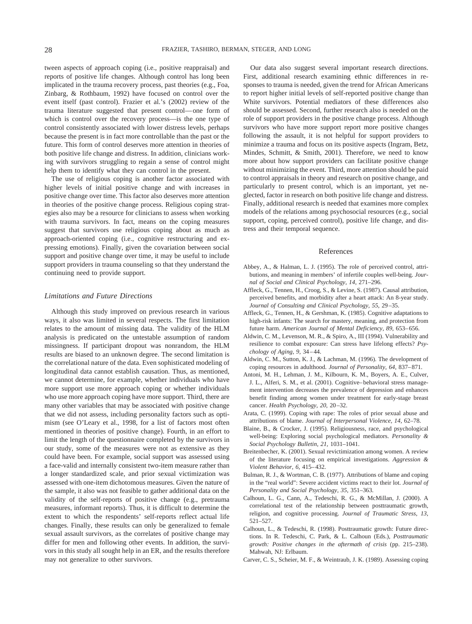tween aspects of approach coping (i.e., positive reappraisal) and reports of positive life changes. Although control has long been implicated in the trauma recovery process, past theories (e.g., Foa, Zinbarg, & Rothbaum, 1992) have focused on control over the event itself (past control). Frazier et al.'s (2002) review of the trauma literature suggested that present control—one form of which is control over the recovery process—is the one type of control consistently associated with lower distress levels, perhaps because the present is in fact more controllable than the past or the future. This form of control deserves more attention in theories of both positive life change and distress. In addition, clinicians working with survivors struggling to regain a sense of control might help them to identify what they can control in the present.

The use of religious coping is another factor associated with higher levels of initial positive change and with increases in positive change over time. This factor also deserves more attention in theories of the positive change process. Religious coping strategies also may be a resource for clinicians to assess when working with trauma survivors. In fact, means on the coping measures suggest that survivors use religious coping about as much as approach-oriented coping (i.e., cognitive restructuring and expressing emotions). Finally, given the covariation between social support and positive change over time, it may be useful to include support providers in trauma counseling so that they understand the continuing need to provide support.

### *Limitations and Future Directions*

Although this study improved on previous research in various ways, it also was limited in several respects. The first limitation relates to the amount of missing data. The validity of the HLM analysis is predicated on the untestable assumption of random missingness. If participant dropout was nonrandom, the HLM results are biased to an unknown degree. The second limitation is the correlational nature of the data. Even sophisticated modeling of longitudinal data cannot establish causation. Thus, as mentioned, we cannot determine, for example, whether individuals who have more support use more approach coping or whether individuals who use more approach coping have more support. Third, there are many other variables that may be associated with positive change that we did not assess, including personality factors such as optimism (see O'Leary et al., 1998, for a list of factors most often mentioned in theories of positive change). Fourth, in an effort to limit the length of the questionnaire completed by the survivors in our study, some of the measures were not as extensive as they could have been. For example, social support was assessed using a face-valid and internally consistent two-item measure rather than a longer standardized scale, and prior sexual victimization was assessed with one-item dichotomous measures. Given the nature of the sample, it also was not feasible to gather additional data on the validity of the self-reports of positive change (e.g., pretrauma measures, informant reports). Thus, it is difficult to determine the extent to which the respondents' self-reports reflect actual life changes. Finally, these results can only be generalized to female sexual assault survivors, as the correlates of positive change may differ for men and following other events. In addition, the survivors in this study all sought help in an ER, and the results therefore may not generalize to other survivors.

Our data also suggest several important research directions. First, additional research examining ethnic differences in responses to trauma is needed, given the trend for African Americans to report higher initial levels of self-reported positive change than White survivors. Potential mediators of these differences also should be assessed. Second, further research also is needed on the role of support providers in the positive change process. Although survivors who have more support report more positive changes following the assault, it is not helpful for support providers to minimize a trauma and focus on its positive aspects (Ingram, Betz, Mindes, Schmitt, & Smith, 2001). Therefore, we need to know more about how support providers can facilitate positive change without minimizing the event. Third, more attention should be paid to control appraisals in theory and research on positive change, and particularly to present control, which is an important, yet neglected, factor in research on both positive life change and distress. Finally, additional research is needed that examines more complex models of the relations among psychosocial resources (e.g., social support, coping, perceived control), positive life change, and distress and their temporal sequence.

## References

- Abbey, A., & Halman, L. J. (1995). The role of perceived control, attributions, and meaning in members' of infertile couples well-being. *Journal of Social and Clinical Psychology, 14,* 271–296.
- Affleck, G., Tennen, H., Croog, S., & Levine, S. (1987). Causal attribution, perceived benefits, and morbidity after a heart attack: An 8-year study. *Journal of Consulting and Clinical Psychology, 55,* 29–35.
- Affleck, G., Tennen, H., & Gershman, K. (1985). Cognitive adaptations to high-risk infants: The search for mastery, meaning, and protection from future harm. *American Journal of Mental Deficiency, 89,* 653–656.
- Aldwin, C. M., Levenson, M. R., & Spiro, A., III (1994). Vulnerability and resilience to combat exposure: Can stress have lifelong effects? *Psychology of Aging, 9,* 34–44.
- Aldwin, C. M., Sutton, K. J., & Lachman, M. (1996). The development of coping resources in adulthood. *Journal of Personality, 64,* 837–871.
- Antoni, M. H., Lehman, J. M., Kilbourn, K. M., Boyers, A. E., Culver, J. L., Alferi, S. M., et al. (2001). Cognitive–behavioral stress management intervention decreases the prevalence of depression and enhances benefit finding among women under treatment for early-stage breast cancer. *Health Psychology, 20,* 20–32.
- Arata, C. (1999). Coping with rape: The roles of prior sexual abuse and attributions of blame. *Journal of Interpersonal Violence, 14,* 62–78.
- Blaine, B., & Crocker, J. (1995). Religiousness, race, and psychological well-being: Exploring social psychological mediators. *Personality & Social Psychology Bulletin, 21,* 1031–1041.
- Breitenbecher, K. (2001). Sexual revictimization among women. A review of the literature focusing on empirical investigations. *Aggression & Violent Behavior, 6,* 415–432.
- Bulman, R. J., & Wortman, C. B. (1977). Attributions of blame and coping in the "real world": Severe accident victims react to their lot. *Journal of Personality and Social Psychology, 35,* 351–363.
- Calhoun, L. G., Cann, A., Tedeschi, R. G., & McMillan, J. (2000). A correlational test of the relationship between posttraumatic growth, religion, and cognitive processing. *Journal of Traumatic Stress, 13,* 521–527.
- Calhoun, L., & Tedeschi, R. (1998). Posttraumatic growth: Future directions. In R. Tedeschi, C. Park, & L. Calhoun (Eds.), *Posttraumatic growth: Positive changes in the aftermath of crisis* (pp. 215–238). Mahwah, NJ: Erlbaum.
- Carver, C. S., Scheier, M. F., & Weintraub, J. K. (1989). Assessing coping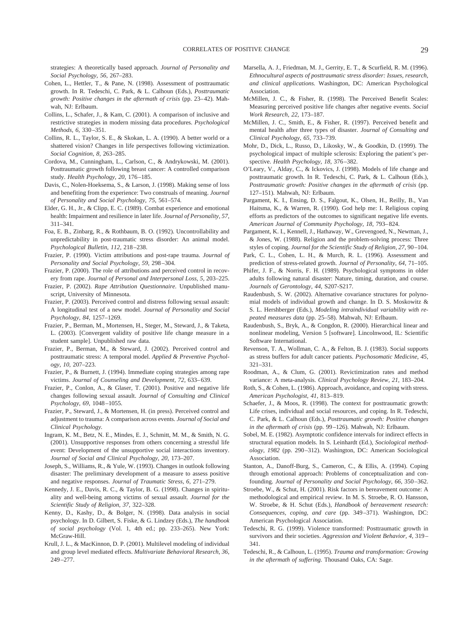strategies: A theoretically based approach. *Journal of Personality and Social Psychology, 56,* 267–283.

- Cohen, L., Hettler, T., & Pane, N. (1998). Assessment of posttraumatic growth. In R. Tedeschi, C. Park, & L. Calhoun (Eds.), *Posttraumatic growth: Positive changes in the aftermath of crisis* (pp. 23–42). Mahwah, NJ: Erlbaum.
- Collins, L., Schafer, J., & Kam, C. (2001). A comparison of inclusive and restrictive strategies in modern missing data procedures. *Psychological Methods, 6,* 330–351.
- Collins, R. L., Taylor, S. E., & Skokan, L. A. (1990). A better world or a shattered vision? Changes in life perspectives following victimization. *Social Cognition, 8,* 263–285.
- Cordova, M., Cunningham, L., Carlson, C., & Andrykowski, M. (2001). Posttraumatic growth following breast cancer: A controlled comparison study. *Health Psychology, 20,* 176–185.
- Davis, C., Nolen-Hoeksema, S., & Larson, J. (1998). Making sense of loss and benefiting from the experience: Two construals of meaning. *Journal of Personality and Social Psychology, 75,* 561–574.
- Elder, G. H., Jr., & Clipp, E. C. (1989). Combat experience and emotional health: Impairment and resilience in later life. *Journal of Personality, 57,* 311–341.
- Foa, E. B., Zinbarg, R., & Rothbaum, B. O. (1992). Uncontrollability and unpredictability in post-traumatic stress disorder: An animal model. *Psychological Bulletin, 112,* 218–238.
- Frazier, P. (1990). Victim attributions and post-rape trauma. *Journal of Personality and Social Psychology, 59,* 298–304.
- Frazier, P. (2000). The role of attributions and perceived control in recovery from rape. *Journal of Personal and Interpersonal Loss, 5,* 203–225.
- Frazier, P. (2002). *Rape Attribution Questionnaire.* Unpublished manuscript, University of Minnesota.
- Frazier, P. (2003). Perceived control and distress following sexual assault: A longitudinal test of a new model. *Journal of Personality and Social Psychology, 84,* 1257–1269.
- Frazier, P., Berman, M., Mortensen, H., Steger, M., Steward, J., & Taketa, L. (2003). [Convergent validity of positive life change measure in a student sample]. Unpublished raw data.
- Frazier, P., Berman, M., & Steward, J. (2002). Perceived control and posttraumatic stress: A temporal model. *Applied & Preventive Psychology, 10,* 207–223.
- Frazier, P., & Burnett, J. (1994). Immediate coping strategies among rape victims. *Journal of Counseling and Development, 72,* 633–639.
- Frazier, P., Conlon, A., & Glaser, T. (2001). Positive and negative life changes following sexual assault. *Journal of Consulting and Clinical Psychology, 69,* 1048–1055.
- Frazier, P., Steward, J., & Mortensen, H. (in press). Perceived control and adjustment to trauma: A comparison across events. *Journal of Social and Clinical Psychology.*
- Ingram, K. M., Betz, N. E., Mindes, E. J., Schmitt, M. M., & Smith, N. G. (2001). Unsupportive responses from others concerning a stressful life event: Development of the unsupportive social interactions inventory. *Journal of Social and Clinical Psychology, 20,* 173–207.
- Joseph, S., Williams, R., & Yule, W. (1993). Changes in outlook following disaster: The preliminary development of a measure to assess positive and negative responses. *Journal of Traumatic Stress, 6,* 271–279.
- Kennedy, J. E., Davis, R. C., & Taylor, B. G. (1998). Changes in spirituality and well-being among victims of sexual assault. *Journal for the Scientific Study of Religion, 37,* 322–328.
- Kenny, D., Kashy, D., & Bolger, N. (1998). Data analysis in social psychology. In D. Gilbert, S. Fiske, & G. Lindzey (Eds.), *The handbook of social psychology* (Vol. 1, 4th ed.; pp. 233–265). New York: McGraw-Hill.
- Krull, J. L., & MacKinnon, D. P. (2001). Multilevel modeling of individual and group level mediated effects. *Multivariate Behavioral Research, 36,* 249–277.
- Marsella, A. J., Friedman, M. J., Gerrity, E. T., & Scurfield, R. M. (1996). *Ethnocultural aspects of posttraumatic stress disorder: Issues, research, and clinical applications.* Washington, DC: American Psychological Association.
- McMillen, J. C., & Fisher, R. (1998). The Perceived Benefit Scales: Measuring perceived positive life changes after negative events. *Social Work Research, 22,* 173–187.
- McMillen, J. C., Smith, E., & Fisher, R. (1997). Perceived benefit and mental health after three types of disaster. *Journal of Consulting and Clinical Psychology, 65,* 733–739.
- Mohr, D., Dick, L., Russo, D., Likosky, W., & Goodkin, D. (1999). The psychological impact of multiple sclerosis: Exploring the patient's perspective. *Health Psychology, 18,* 376–382.
- O'Leary, V., Alday, C., & Ickovics, J. (1998). Models of life change and posttraumatic growth. In R. Tedeschi, C. Park, & L. Calhoun (Eds.), *Posttraumatic growth: Positive changes in the aftermath of crisis* (pp. 127–151). Mahwah, NJ: Erlbaum.
- Pargament, K. I., Ensing, D. S., Falgout, K., Olsen, H., Reilly, B., Van Haitsma, K., & Warren, R. (1990). God help me: I. Religious coping efforts as predictors of the outcomes to significant negative life events. *American Journal of Community Psychology, 18,* 793–824.
- Pargament, K. I., Kennell, J., Hathaway, W., Grevengoed, N., Newman, J., & Jones, W. (1988). Religion and the problem-solving process: Three styles of coping. *Journal for the Scientific Study of Religion, 27,* 90–104.
- Park, C. L., Cohen, L. H., & Murch, R. L. (1996). Assessment and prediction of stress-related growth. *Journal of Personality, 64,* 71–105.
- Phifer, J. F., & Norris, F. H. (1989). Psychological symptoms in older adults following natural disaster: Nature, timing, duration, and course. *Journals of Gerontology, 44,* S207-S217.
- Raudenbush, S. W. (2002). Alternative covariance structures for polynomial models of individual growth and change. In D. S. Moskowitz & S. L. Hershberger (Eds.), *Modeling intraindividual variability with repeated measures data* (pp. 25–58). Mahwah, NJ: Erlbaum.
- Raudenbush, S., Bryk, A., & Congdon, R. (2000). Hierarchical linear and nonlinear modeling, Version 5 [software]. Lincolnwood, IL: Scientific Software International.
- Revenson, T. A., Wollman, C. A., & Felton, B. J. (1983). Social supports as stress buffers for adult cancer patients. *Psychosomatic Medicine, 45,* 321–331.
- Roodman, A., & Clum, G. (2001). Revictimization rates and method variance: A meta-analysis. *Clinical Psychology Review, 21,* 183–204.
- Roth, S., & Cohen, L. (1986). Approach, avoidance, and coping with stress. *American Psychologist, 41,* 813–819.
- Schaefer, J., & Moos, R. (1998). The context for posttraumatic growth: Life crises, individual and social resources, and coping. In R. Tedeschi, C. Park, & L. Calhoun (Eds.), *Posttraumatic growth: Positive changes in the aftermath of crisis* (pp. 99–126). Mahwah, NJ: Erlbaum.
- Sobel, M. E. (1982). Asymptotic confidence intervals for indirect effects in structural equation models. In S. Leinhardt (Ed.), *Sociological methodology, 1982* (pp. 290–312). Washington, DC: American Sociological Association.
- Stanton, A., Danoff-Burg, S., Cameron, C., & Ellis, A. (1994). Coping through emotional approach: Problems of conceptualization and confounding. *Journal of Personality and Social Psychology, 66,* 350–362.
- Stroebe, W., & Schut, H. (2001). Risk factors in bereavement outcome: A methodological and empirical review. In M. S. Stroebe, R. O. Hansson, W. Stroebe, & H. Schut (Eds.), *Handbook of bereavement research: Consequences, coping, and care* (pp. 349–371). Washington, DC: American Psychological Association.
- Tedeschi, R. G. (1999). Violence transformed: Posttraumatic growth in survivors and their societies. *Aggression and Violent Behavior, 4,* 319– 341.
- Tedeschi, R., & Calhoun, L. (1995). *Trauma and transformation: Growing in the aftermath of suffering.* Thousand Oaks, CA: Sage.